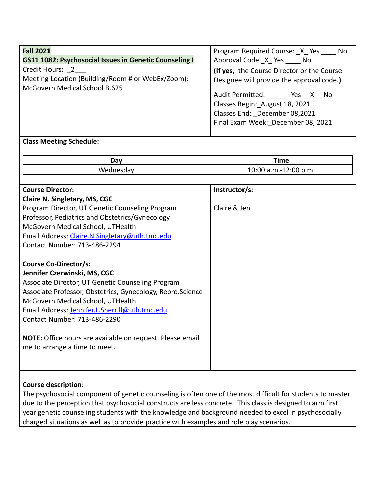| <b>Fall 2021</b>                                              | Program Required Course: X Yes No                                                                                                                |
|---------------------------------------------------------------|--------------------------------------------------------------------------------------------------------------------------------------------------|
| <b>GS11 1082: Psychosocial Issues in Genetic Counseling I</b> | Approval Code X Yes No                                                                                                                           |
| Credit Hours: 2                                               | (If yes, the Course Director or the Course                                                                                                       |
| Meeting Location (Building/Room # or WebEx/Zoom):             | Designee will provide the approval code.)                                                                                                        |
| McGovern Medical School B.625                                 | Audit Permitted: ________ Yes __X __ No<br>Classes Begin: August 18, 2021<br>Classes End: December 08,2021<br>Final Exam Week: December 08, 2021 |

## **Class Meeting Schedule:**

| . הרר<br>va | <b>Time</b>                                               |
|-------------|-----------------------------------------------------------|
|             | 10:00<br>$\Omega$<br>.<br>p.m.<br>.m.-<br>$\sim$<br>----- |

| <b>Course Director:</b>                                          | Instructor/s: |
|------------------------------------------------------------------|---------------|
|                                                                  |               |
| <b>Claire N. Singletary, MS, CGC</b>                             |               |
| Program Director, UT Genetic Counseling Program                  | Claire & Jen  |
| Professor, Pediatrics and Obstetrics/Gynecology                  |               |
| McGovern Medical School, UTHealth                                |               |
| Email Address: Claire.N.Singletary@uth.tmc.edu                   |               |
| Contact Number: 713-486-2294                                     |               |
|                                                                  |               |
| <b>Course Co-Director/s:</b>                                     |               |
| Jennifer Czerwinski, MS, CGC                                     |               |
| Associate Director, UT Genetic Counseling Program                |               |
| Associate Professor, Obstetrics, Gynecology, Repro.Science       |               |
| McGovern Medical School, UTHealth                                |               |
| Email Address: Jennifer.L.Sherrill@uth.tmc.edu                   |               |
| <b>Contact Number: 713-486-2290</b>                              |               |
|                                                                  |               |
| <b>NOTE:</b> Office hours are available on request. Please email |               |
| me to arrange a time to meet.                                    |               |
|                                                                  |               |
|                                                                  |               |
|                                                                  |               |

## **Course description**:

The psychosocial component of genetic counseling is often one of the most difficult for students to master due to the perception that psychosocial constructs are less concrete. This class is designed to arm first year genetic counseling students with the knowledge and background needed to excel in psychosocially charged situations as well as to provide practice with examples and role play scenarios.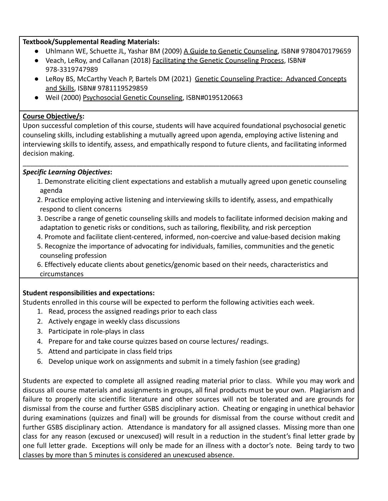#### **Textbook/Supplemental Reading Materials:**

- Uhlmann WE, Schuette JL, Yashar BM (2009) A Guide to Genetic Counseling, ISBN# 9780470179659
- Veach, LeRoy, and Callanan (2018) Facilitating the Genetic Counseling Process, ISBN# 978-3319747989
- LeRoy BS, McCarthy Veach P, Bartels DM (2021) Genetic Counseling Practice: Advanced Concepts and Skills, ISBN# 9781119529859
- Weil (2000) Psychosocial Genetic Counseling, ISBN#0195120663

### **Course Objective/s:**

Upon successful completion of this course, students will have acquired foundational psychosocial genetic counseling skills, including establishing a mutually agreed upon agenda, employing active listening and interviewing skills to identify, assess, and empathically respond to future clients, and facilitating informed decision making.

\_\_\_\_\_\_\_\_\_\_\_\_\_\_\_\_\_\_\_\_\_\_\_\_\_\_\_\_\_\_\_\_\_\_\_\_\_\_\_\_\_\_\_\_\_\_\_\_\_\_\_\_\_\_\_\_\_\_\_\_\_\_\_\_\_\_\_\_\_\_\_\_\_\_\_\_\_\_\_\_\_\_\_\_\_\_

### *Specific Learning Objectives***:**

- 1. Demonstrate eliciting client expectations and establish a mutually agreed upon genetic counseling agenda
- 2. Practice employing active listening and interviewing skills to identify, assess, and empathically respond to client concerns
- 3. Describe a range of genetic counseling skills and models to facilitate informed decision making and adaptation to genetic risks or conditions, such as tailoring, flexibility, and risk perception
- 4. Promote and facilitate client-centered, informed, non-coercive and value-based decision making
- 5. Recognize the importance of advocating for individuals, families, communities and the genetic counseling profession
- 6. Effectively educate clients about genetics/genomic based on their needs, characteristics and circumstances

# **Student responsibilities and expectations:**

Students enrolled in this course will be expected to perform the following activities each week.

- 1. Read, process the assigned readings prior to each class
- 2. Actively engage in weekly class discussions
- 3. Participate in role-plays in class
- 4. Prepare for and take course quizzes based on course lectures/ readings.
- 5. Attend and participate in class field trips
- 6. Develop unique work on assignments and submit in a timely fashion (see grading)

Students are expected to complete all assigned reading material prior to class. While you may work and discuss all course materials and assignments in groups, all final products must be your own. Plagiarism and failure to properly cite scientific literature and other sources will not be tolerated and are grounds for dismissal from the course and further GSBS disciplinary action. Cheating or engaging in unethical behavior during examinations (quizzes and final) will be grounds for dismissal from the course without credit and further GSBS disciplinary action. Attendance is mandatory for all assigned classes. Missing more than one class for any reason (excused or unexcused) will result in a reduction in the student's final letter grade by one full letter grade. Exceptions will only be made for an illness with a doctor's note. Being tardy to two classes by more than 5 minutes is considered an unexcused absence.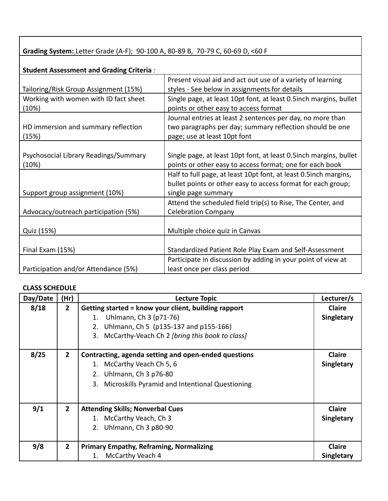**Grading System:** Letter Grade (A-F); 90-100 A, 80-89 B, 70-79 C, 60-69 D, <60 F

| <b>Student Assessment and Grading Criteria:</b> |                                                                   |
|-------------------------------------------------|-------------------------------------------------------------------|
|                                                 | Present visual aid and act out use of a variety of learning       |
| Tailoring/Risk Group Assignment (15%)           | styles - See below in assignments for details                     |
| Working with women with ID fact sheet           | Single page, at least 10pt font, at least 0.5inch margins, bullet |
| (10%)                                           | points or other easy to access format                             |
|                                                 | Journal entries at least 2 sentences per day, no more than        |
| HD immersion and summary reflection             | two paragraphs per day; summary reflection should be one          |
| (15%)                                           | page; use at least 10pt font                                      |
|                                                 |                                                                   |
| Psychosocial Library Readings/Summary           | Single page, at least 10pt font, at least 0.5inch margins, bullet |
| (10%)                                           | points or other easy to access format; one for each book          |
|                                                 | Half to full page, at least 10pt font, at least 0.5inch margins,  |
|                                                 | bullet points or other easy to access format for each group;      |
| Support group assignment (10%)                  | single page summary                                               |
|                                                 | Attend the scheduled field trip(s) to Rise, The Center, and       |
| Advocacy/outreach participation (5%)            | <b>Celebration Company</b>                                        |
|                                                 |                                                                   |
| Quiz (15%)                                      | Multiple choice quiz in Canvas                                    |
|                                                 |                                                                   |
| Final Exam (15%)                                | Standardized Patient Role Play Exam and Self-Assessment           |
|                                                 | Participate in discussion by adding in your point of view at      |
| Participation and/or Attendance (5%)            | least once per class period                                       |

### **CLASS SCHEDULE**

| Day/Date | (Hr)           | <b>Lecture Topic</b>                                  | Lecturer/s    |
|----------|----------------|-------------------------------------------------------|---------------|
| 8/18     | $\overline{2}$ | Getting started = know your client, building rapport  | <b>Claire</b> |
|          |                | 1. Uhlmann, Ch 3 (p71-76)                             | Singletary    |
|          |                | Uhlmann, Ch 5 (p135-137 and p155-166)<br>2.           |               |
|          |                | McCarthy-Veach Ch 2 [bring this book to class]<br>3.  |               |
|          |                |                                                       |               |
| 8/25     | $\mathbf{2}$   | Contracting, agenda setting and open-ended questions  | <b>Claire</b> |
|          |                | 1. McCarthy Veach Ch 5, 6                             | Singletary    |
|          |                | Uhlmann, Ch 3 p76-80<br>2.                            |               |
|          |                | Microskills Pyramid and Intentional Questioning<br>3. |               |
|          |                |                                                       |               |
| 9/1      | 2 <sup>1</sup> | <b>Attending Skills; Nonverbal Cues</b>               | <b>Claire</b> |
|          |                | 1. McCarthy Veach, Ch 3                               | Singletary    |
|          |                | 2. Uhlmann, Ch 3 p80-90                               |               |
|          |                |                                                       |               |
| 9/8      | $\overline{2}$ | <b>Primary Empathy, Reframing, Normalizing</b>        | <b>Claire</b> |
|          |                | McCarthy Veach 4<br>1.                                | Singletary    |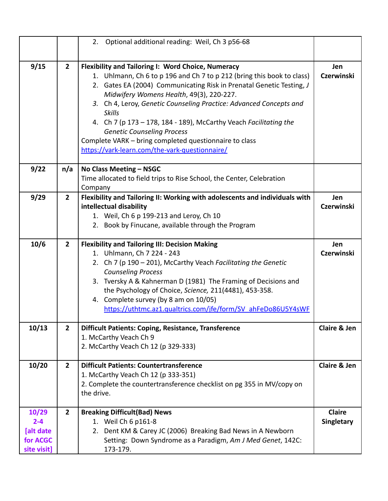|                                                          |                | 2. Optional additional reading: Weil, Ch 3 p56-68                                                                                                                                                                                                                                                                                                                                                                                                                                                                                                                    |                             |
|----------------------------------------------------------|----------------|----------------------------------------------------------------------------------------------------------------------------------------------------------------------------------------------------------------------------------------------------------------------------------------------------------------------------------------------------------------------------------------------------------------------------------------------------------------------------------------------------------------------------------------------------------------------|-----------------------------|
|                                                          |                |                                                                                                                                                                                                                                                                                                                                                                                                                                                                                                                                                                      |                             |
| 9/15                                                     | $\overline{2}$ | <b>Flexibility and Tailoring I: Word Choice, Numeracy</b><br>1. Uhlmann, Ch 6 to p 196 and Ch 7 to p 212 (bring this book to class)<br>2. Gates EA (2004) Communicating Risk in Prenatal Genetic Testing, J<br>Midwifery Womens Health, 49(3), 220-227.<br>3. Ch 4, Leroy, Genetic Counseling Practice: Advanced Concepts and<br><b>Skills</b><br>4. Ch 7 (p 173 – 178, 184 - 189), McCarthy Veach Facilitating the<br><b>Genetic Counseling Process</b><br>Complete VARK - bring completed questionnaire to class<br>https://vark-learn.com/the-vark-questionnaire/ | Jen<br><b>Czerwinski</b>    |
| 9/22                                                     | n/a            | No Class Meeting - NSGC<br>Time allocated to field trips to Rise School, the Center, Celebration<br>Company                                                                                                                                                                                                                                                                                                                                                                                                                                                          |                             |
| 9/29                                                     | $\overline{2}$ | Flexibility and Tailoring II: Working with adolescents and individuals with<br>intellectual disability<br>1. Weil, Ch 6 p 199-213 and Leroy, Ch 10<br>2. Book by Finucane, available through the Program                                                                                                                                                                                                                                                                                                                                                             | Jen<br><b>Czerwinski</b>    |
| 10/6                                                     | $\overline{2}$ | <b>Flexibility and Tailoring III: Decision Making</b><br>1. Uhlmann, Ch 7 224 - 243<br>2. Ch 7 (p 190 - 201), McCarthy Veach Facilitating the Genetic<br><b>Counseling Process</b><br>3. Tversky A & Kahnerman D (1981) The Framing of Decisions and<br>the Psychology of Choice, Science, 211(4481), 453-358.<br>4. Complete survey (by 8 am on 10/05)<br>https://uthtmc.az1.qualtrics.com/jfe/form/SV ahFeDo86U5Y4sWF                                                                                                                                              | Jen<br><b>Czerwinski</b>    |
| 10/13                                                    | $\overline{2}$ | <b>Difficult Patients: Coping, Resistance, Transference</b><br>1. McCarthy Veach Ch 9<br>2. McCarthy Veach Ch 12 (p 329-333)                                                                                                                                                                                                                                                                                                                                                                                                                                         | <b>Claire &amp; Jen</b>     |
| 10/20                                                    | $\overline{2}$ | <b>Difficult Patients: Countertransference</b><br>1. McCarthy Veach Ch 12 (p 333-351)<br>2. Complete the countertransference checklist on pg 355 in MV/copy on<br>the drive.                                                                                                                                                                                                                                                                                                                                                                                         | <b>Claire &amp; Jen</b>     |
| 10/29<br>$2 - 4$<br>[alt date<br>for ACGC<br>site visit] | $\overline{2}$ | <b>Breaking Difficult (Bad) News</b><br>1. Weil Ch 6 p161-8<br>2. Dent KM & Carey JC (2006) Breaking Bad News in A Newborn<br>Setting: Down Syndrome as a Paradigm, Am J Med Genet, 142C:<br>173-179.                                                                                                                                                                                                                                                                                                                                                                | <b>Claire</b><br>Singletary |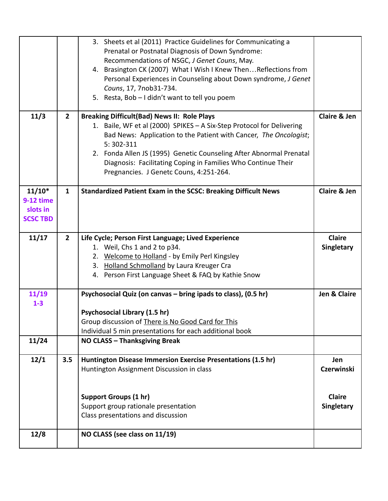|                  |                | 3. Sheets et al (2011) Practice Guidelines for Communicating a        |                         |
|------------------|----------------|-----------------------------------------------------------------------|-------------------------|
|                  |                | Prenatal or Postnatal Diagnosis of Down Syndrome:                     |                         |
|                  |                | Recommendations of NSGC, J Genet Couns, May.                          |                         |
|                  |                | 4. Brasington CK (2007) What I Wish I Knew Then Reflections from      |                         |
|                  |                | Personal Experiences in Counseling about Down syndrome, J Genet       |                         |
|                  |                | Couns, 17, 7nob31-734.                                                |                         |
|                  |                | 5. Resta, Bob - I didn't want to tell you poem                        |                         |
|                  |                |                                                                       |                         |
| 11/3             | $\overline{2}$ | <b>Breaking Difficult(Bad) News II: Role Plays</b>                    | <b>Claire &amp; Jen</b> |
|                  |                | 1. Baile, WF et al (2000) SPIKES - A Six-Step Protocol for Delivering |                         |
|                  |                | Bad News: Application to the Patient with Cancer, The Oncologist;     |                         |
|                  |                | 5:302-311                                                             |                         |
|                  |                | 2. Fonda Allen JS (1995) Genetic Counseling After Abnormal Prenatal   |                         |
|                  |                | Diagnosis: Facilitating Coping in Families Who Continue Their         |                         |
|                  |                | Pregnancies. J Genetc Couns, 4:251-264.                               |                         |
|                  |                |                                                                       |                         |
| $11/10*$         | $\mathbf{1}$   | <b>Standardized Patient Exam in the SCSC: Breaking Difficult News</b> | <b>Claire &amp; Jen</b> |
| <b>9-12 time</b> |                |                                                                       |                         |
| slots in         |                |                                                                       |                         |
| <b>SCSC TBD</b>  |                |                                                                       |                         |
|                  |                |                                                                       |                         |
| 11/17            | $\overline{2}$ | Life Cycle; Person First Language; Lived Experience                   | <b>Claire</b>           |
|                  |                | 1. Weil, Chs 1 and 2 to p34.                                          | Singletary              |
|                  |                | 2. Welcome to Holland - by Emily Perl Kingsley                        |                         |
|                  |                | 3. Holland Schmolland by Laura Kreuger Cra                            |                         |
|                  |                | 4. Person First Language Sheet & FAQ by Kathie Snow                   |                         |
|                  |                |                                                                       |                         |
| 11/19            |                | Psychosocial Quiz (on canvas - bring ipads to class), (0.5 hr)        | Jen & Claire            |
| $1-3$            |                | Psychosocial Library (1.5 hr)                                         |                         |
|                  |                | Group discussion of There is No Good Card for This                    |                         |
|                  |                | Individual 5 min presentations for each additional book               |                         |
| 11/24            |                | NO CLASS - Thanksgiving Break                                         |                         |
|                  |                |                                                                       |                         |
| 12/1             | 3.5            | Huntington Disease Immersion Exercise Presentations (1.5 hr)          | Jen                     |
|                  |                | Huntington Assignment Discussion in class                             | <b>Czerwinski</b>       |
|                  |                |                                                                       |                         |
|                  |                | <b>Support Groups (1 hr)</b>                                          | <b>Claire</b>           |
|                  |                | Support group rationale presentation                                  | Singletary              |
|                  |                |                                                                       |                         |
|                  |                | Class presentations and discussion                                    |                         |
| 12/8             |                | NO CLASS (see class on 11/19)                                         |                         |
|                  |                |                                                                       |                         |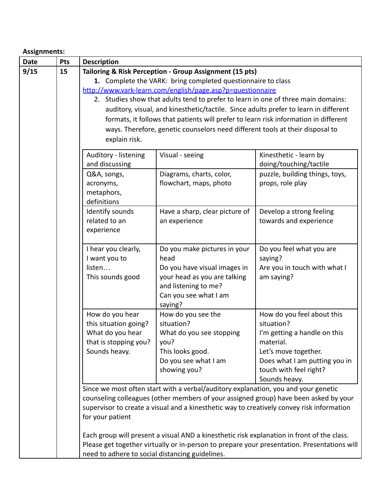# **Assignments:**

| <b>Date</b> | Pts | <b>Description</b>                                      |                                                                                            |                                                                                             |
|-------------|-----|---------------------------------------------------------|--------------------------------------------------------------------------------------------|---------------------------------------------------------------------------------------------|
| 9/15        | 15  | Tailoring & Risk Perception - Group Assignment (15 pts) |                                                                                            |                                                                                             |
|             |     |                                                         | 1. Complete the VARK: bring completed questionnaire to class                               |                                                                                             |
|             |     |                                                         | http://www.vark-learn.com/english/page.asp?p=questionnaire                                 |                                                                                             |
|             |     |                                                         | 2. Studies show that adults tend to prefer to learn in one of three main domains:          |                                                                                             |
|             |     |                                                         | auditory, visual, and kinesthetic/tactile. Since adults prefer to learn in different       |                                                                                             |
|             |     |                                                         | formats, it follows that patients will prefer to learn risk information in different       |                                                                                             |
|             |     |                                                         | ways. Therefore, genetic counselors need different tools at their disposal to              |                                                                                             |
|             |     | explain risk.                                           |                                                                                            |                                                                                             |
|             |     | Auditory - listening                                    | Visual - seeing                                                                            | Kinesthetic - learn by                                                                      |
|             |     | and discussing                                          |                                                                                            | doing/touching/tactile                                                                      |
|             |     | Q&A, songs,                                             | Diagrams, charts, color,                                                                   | puzzle, building things, toys,                                                              |
|             |     | acronyms,                                               | flowchart, maps, photo                                                                     | props, role play                                                                            |
|             |     | metaphors,                                              |                                                                                            |                                                                                             |
|             |     | definitions                                             |                                                                                            |                                                                                             |
|             |     | Identify sounds                                         | Have a sharp, clear picture of                                                             | Develop a strong feeling                                                                    |
|             |     | related to an                                           | an experience                                                                              | towards and experience                                                                      |
|             |     | experience                                              |                                                                                            |                                                                                             |
|             |     | I hear you clearly,                                     | Do you make pictures in your                                                               | Do you feel what you are                                                                    |
|             |     | I want you to                                           | head                                                                                       | saying?                                                                                     |
|             |     | listen                                                  | Do you have visual images in                                                               | Are you in touch with what I                                                                |
|             |     | This sounds good                                        | your head as you are talking                                                               | am saying?                                                                                  |
|             |     |                                                         | and listening to me?                                                                       |                                                                                             |
|             |     |                                                         | Can you see what I am                                                                      |                                                                                             |
|             |     |                                                         | saying?                                                                                    |                                                                                             |
|             |     | How do you hear                                         | How do you see the                                                                         | How do you feel about this                                                                  |
|             |     | this situation going?                                   | situation?                                                                                 | situation?                                                                                  |
|             |     | What do you hear                                        | What do you see stopping                                                                   | I'm getting a handle on this                                                                |
|             |     | that is stopping you?                                   | you?                                                                                       | material.                                                                                   |
|             |     | Sounds heavy.                                           | This looks good.                                                                           | Let's move together.                                                                        |
|             |     |                                                         | Do you see what I am                                                                       | Does what I am putting you in                                                               |
|             |     |                                                         | showing you?                                                                               | touch with feel right?                                                                      |
|             |     |                                                         |                                                                                            | Sounds heavy.                                                                               |
|             |     |                                                         | Since we most often start with a verbal/auditory explanation, you and your genetic         |                                                                                             |
|             |     |                                                         |                                                                                            | counseling colleagues (other members of your assigned group) have been asked by your        |
|             |     |                                                         | supervisor to create a visual and a kinesthetic way to creatively convey risk information  |                                                                                             |
|             |     | for your patient                                        |                                                                                            |                                                                                             |
|             |     |                                                         | Each group will present a visual AND a kinesthetic risk explanation in front of the class. |                                                                                             |
|             |     |                                                         |                                                                                            | Please get together virtually or in-person to prepare your presentation. Presentations will |
|             |     | need to adhere to social distancing guidelines.         |                                                                                            |                                                                                             |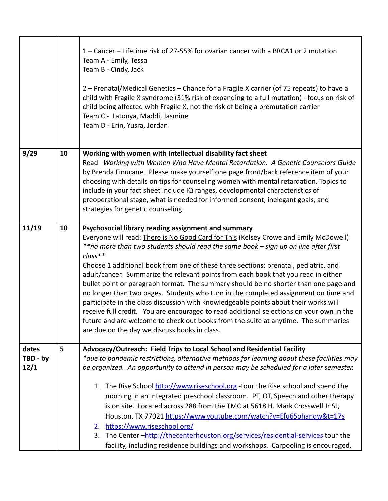|                           |    | 1 – Cancer – Lifetime risk of 27-55% for ovarian cancer with a BRCA1 or 2 mutation<br>Team A - Emily, Tessa<br>Team B - Cindy, Jack<br>2 – Prenatal/Medical Genetics – Chance for a Fragile X carrier (of 75 repeats) to have a<br>child with Fragile X syndrome (31% risk of expanding to a full mutation) - focus on risk of<br>child being affected with Fragile X, not the risk of being a premutation carrier<br>Team C - Latonya, Maddi, Jasmine<br>Team D - Erin, Yusra, Jordan                                                                                                                                                                                                                                                                                                                                                                                                                                                 |  |
|---------------------------|----|----------------------------------------------------------------------------------------------------------------------------------------------------------------------------------------------------------------------------------------------------------------------------------------------------------------------------------------------------------------------------------------------------------------------------------------------------------------------------------------------------------------------------------------------------------------------------------------------------------------------------------------------------------------------------------------------------------------------------------------------------------------------------------------------------------------------------------------------------------------------------------------------------------------------------------------|--|
| 9/29                      | 10 | Working with women with intellectual disability fact sheet<br>Read Working with Women Who Have Mental Retardation: A Genetic Counselors Guide<br>by Brenda Finucane. Please make yourself one page front/back reference item of your<br>choosing with details on tips for counseling women with mental retardation. Topics to<br>include in your fact sheet include IQ ranges, developmental characteristics of<br>preoperational stage, what is needed for informed consent, inelegant goals, and<br>strategies for genetic counseling.                                                                                                                                                                                                                                                                                                                                                                                               |  |
| 11/19                     | 10 | Psychosocial library reading assignment and summary<br>Everyone will read: There is No Good Card for This (Kelsey Crowe and Emily McDowell)<br>**no more than two students should read the same book - sign up on line after first<br>$class**$<br>Choose 1 additional book from one of these three sections: prenatal, pediatric, and<br>adult/cancer. Summarize the relevant points from each book that you read in either<br>bullet point or paragraph format. The summary should be no shorter than one page and<br>no longer than two pages. Students who turn in the completed assignment on time and<br>participate in the class discussion with knowledgeable points about their works will<br>receive full credit. You are encouraged to read additional selections on your own in the<br>future and are welcome to check out books from the suite at anytime. The summaries<br>are due on the day we discuss books in class. |  |
| dates<br>TBD - by<br>12/1 | 5  | Advocacy/Outreach: Field Trips to Local School and Residential Facility<br>*due to pandemic restrictions, alternative methods for learning about these facilities may<br>be organized. An opportunity to attend in person may be scheduled for a later semester.<br>1. The Rise School http://www.riseschool.org -tour the Rise school and spend the<br>morning in an integrated preschool classroom. PT, OT, Speech and other therapy<br>is on site. Located across 288 from the TMC at 5618 H. Mark Crosswell Jr St,<br>Houston, TX 77021 https://www.youtube.com/watch?v=Efu65ohangw&t=17s<br>https://www.riseschool.org/<br>2.<br>3. The Center -http://thecenterhouston.org/services/residential-services tour the<br>facility, including residence buildings and workshops. Carpooling is encouraged.                                                                                                                            |  |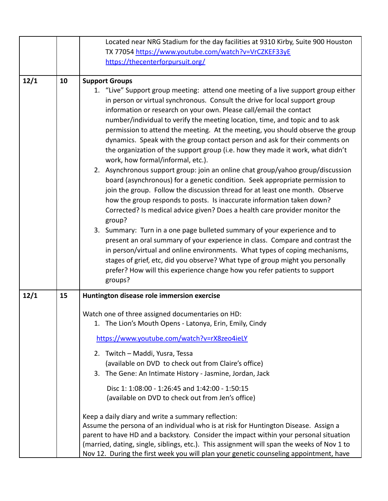|      |    | Located near NRG Stadium for the day facilities at 9310 Kirby, Suite 900 Houston                                                                                                                                                                                                                                                                                                                                                                                                                                                                                                                                                                                                                                                                                                                                                                                                                                                                                                                                                                                                                                                                                                                                                                                                                                                                                                                                                                                                      |
|------|----|---------------------------------------------------------------------------------------------------------------------------------------------------------------------------------------------------------------------------------------------------------------------------------------------------------------------------------------------------------------------------------------------------------------------------------------------------------------------------------------------------------------------------------------------------------------------------------------------------------------------------------------------------------------------------------------------------------------------------------------------------------------------------------------------------------------------------------------------------------------------------------------------------------------------------------------------------------------------------------------------------------------------------------------------------------------------------------------------------------------------------------------------------------------------------------------------------------------------------------------------------------------------------------------------------------------------------------------------------------------------------------------------------------------------------------------------------------------------------------------|
|      |    | TX 77054 https://www.youtube.com/watch?v=VrCZKEF33yE                                                                                                                                                                                                                                                                                                                                                                                                                                                                                                                                                                                                                                                                                                                                                                                                                                                                                                                                                                                                                                                                                                                                                                                                                                                                                                                                                                                                                                  |
|      |    | https://thecenterforpursuit.org/                                                                                                                                                                                                                                                                                                                                                                                                                                                                                                                                                                                                                                                                                                                                                                                                                                                                                                                                                                                                                                                                                                                                                                                                                                                                                                                                                                                                                                                      |
|      |    |                                                                                                                                                                                                                                                                                                                                                                                                                                                                                                                                                                                                                                                                                                                                                                                                                                                                                                                                                                                                                                                                                                                                                                                                                                                                                                                                                                                                                                                                                       |
| 12/1 | 10 | <b>Support Groups</b><br>1. "Live" Support group meeting: attend one meeting of a live support group either<br>in person or virtual synchronous. Consult the drive for local support group<br>information or research on your own. Please call/email the contact<br>number/individual to verify the meeting location, time, and topic and to ask<br>permission to attend the meeting. At the meeting, you should observe the group<br>dynamics. Speak with the group contact person and ask for their comments on<br>the organization of the support group (i.e. how they made it work, what didn't<br>work, how formal/informal, etc.).<br>2. Asynchronous support group: join an online chat group/yahoo group/discussion<br>board (asynchronous) for a genetic condition. Seek appropriate permission to<br>join the group. Follow the discussion thread for at least one month. Observe<br>how the group responds to posts. Is inaccurate information taken down?<br>Corrected? Is medical advice given? Does a health care provider monitor the<br>group?<br>3. Summary: Turn in a one page bulleted summary of your experience and to<br>present an oral summary of your experience in class. Compare and contrast the<br>in person/virtual and online environments. What types of coping mechanisms,<br>stages of grief, etc, did you observe? What type of group might you personally<br>prefer? How will this experience change how you refer patients to support<br>groups? |
| 12/1 | 15 | Huntington disease role immersion exercise                                                                                                                                                                                                                                                                                                                                                                                                                                                                                                                                                                                                                                                                                                                                                                                                                                                                                                                                                                                                                                                                                                                                                                                                                                                                                                                                                                                                                                            |
|      |    | Watch one of three assigned documentaries on HD:<br>1. The Lion's Mouth Opens - Latonya, Erin, Emily, Cindy<br>https://www.youtube.com/watch?v=rX8zeo4ieLY<br>2. Twitch - Maddi, Yusra, Tessa<br>(available on DVD to check out from Claire's office)<br>3. The Gene: An Intimate History - Jasmine, Jordan, Jack<br>Disc 1: 1:08:00 - 1:26:45 and 1:42:00 - 1:50:15<br>(available on DVD to check out from Jen's office)<br>Keep a daily diary and write a summary reflection:<br>Assume the persona of an individual who is at risk for Huntington Disease. Assign a<br>parent to have HD and a backstory. Consider the impact within your personal situation<br>(married, dating, single, siblings, etc.). This assignment will span the weeks of Nov 1 to<br>Nov 12. During the first week you will plan your genetic counseling appointment, have                                                                                                                                                                                                                                                                                                                                                                                                                                                                                                                                                                                                                                |